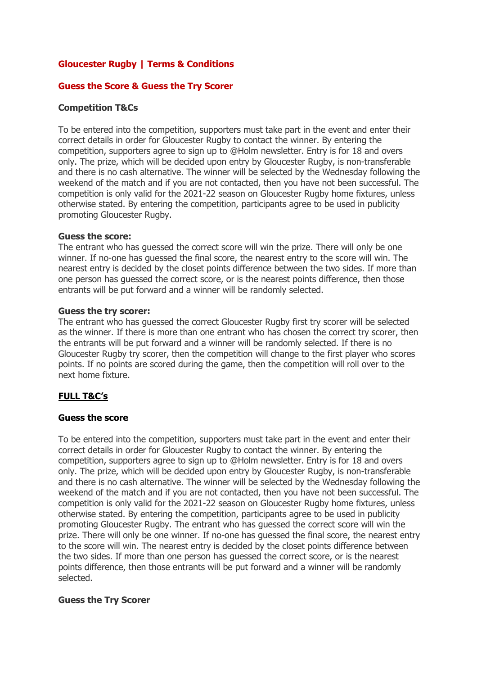## **Gloucester Rugby | Terms & Conditions**

## **Guess the Score & Guess the Try Scorer**

## **Competition T&Cs**

To be entered into the competition, supporters must take part in the event and enter their correct details in order for Gloucester Rugby to contact the winner. By entering the competition, supporters agree to sign up to @Holm newsletter. Entry is for 18 and overs only. The prize, which will be decided upon entry by Gloucester Rugby, is non-transferable and there is no cash alternative. The winner will be selected by the Wednesday following the weekend of the match and if you are not contacted, then you have not been successful. The competition is only valid for the 2021-22 season on Gloucester Rugby home fixtures, unless otherwise stated. By entering the competition, participants agree to be used in publicity promoting Gloucester Rugby.

## **Guess the score:**

The entrant who has guessed the correct score will win the prize. There will only be one winner. If no-one has guessed the final score, the nearest entry to the score will win. The nearest entry is decided by the closet points difference between the two sides. If more than one person has guessed the correct score, or is the nearest points difference, then those entrants will be put forward and a winner will be randomly selected.

#### **Guess the try scorer:**

The entrant who has guessed the correct Gloucester Rugby first try scorer will be selected as the winner. If there is more than one entrant who has chosen the correct try scorer, then the entrants will be put forward and a winner will be randomly selected. If there is no Gloucester Rugby try scorer, then the competition will change to the first player who scores points. If no points are scored during the game, then the competition will roll over to the next home fixture.

# **FULL T&C's**

## **Guess the score**

To be entered into the competition, supporters must take part in the event and enter their correct details in order for Gloucester Rugby to contact the winner. By entering the competition, supporters agree to sign up to @Holm newsletter. Entry is for 18 and overs only. The prize, which will be decided upon entry by Gloucester Rugby, is non-transferable and there is no cash alternative. The winner will be selected by the Wednesday following the weekend of the match and if you are not contacted, then you have not been successful. The competition is only valid for the 2021-22 season on Gloucester Rugby home fixtures, unless otherwise stated. By entering the competition, participants agree to be used in publicity promoting Gloucester Rugby. The entrant who has guessed the correct score will win the prize. There will only be one winner. If no-one has guessed the final score, the nearest entry to the score will win. The nearest entry is decided by the closet points difference between the two sides. If more than one person has guessed the correct score, or is the nearest points difference, then those entrants will be put forward and a winner will be randomly selected.

## **Guess the Try Scorer**